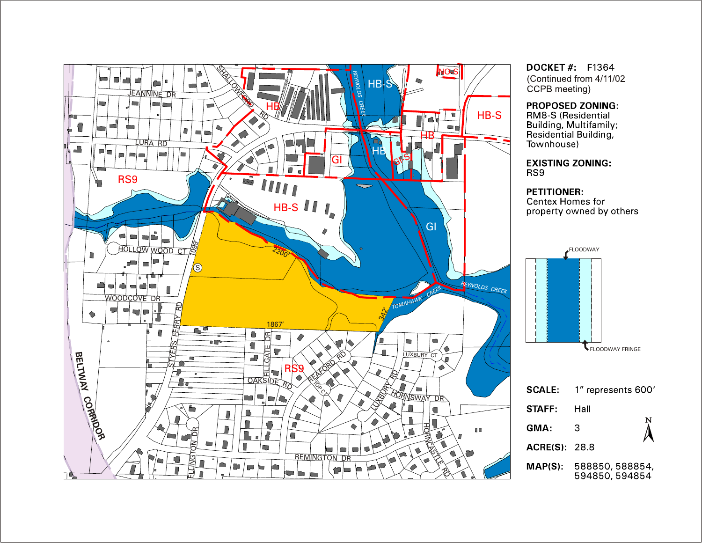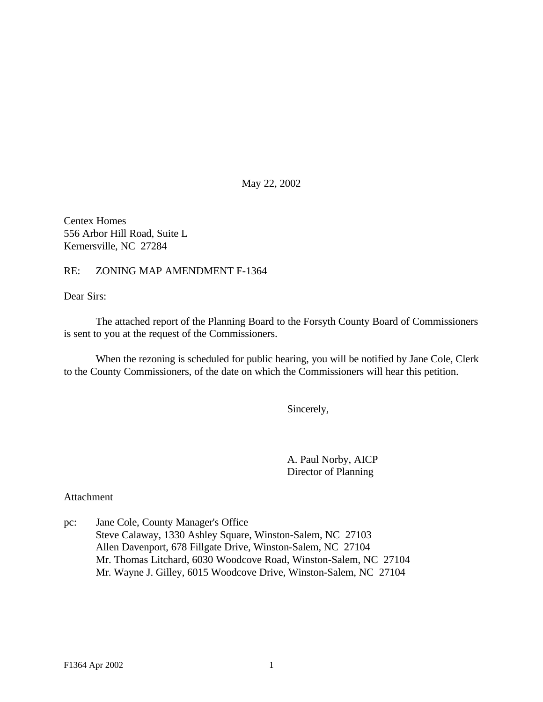May 22, 2002

Centex Homes 556 Arbor Hill Road, Suite L Kernersville, NC 27284

RE: ZONING MAP AMENDMENT F-1364

Dear Sirs:

The attached report of the Planning Board to the Forsyth County Board of Commissioners is sent to you at the request of the Commissioners.

When the rezoning is scheduled for public hearing, you will be notified by Jane Cole, Clerk to the County Commissioners, of the date on which the Commissioners will hear this petition.

Sincerely,

A. Paul Norby, AICP Director of Planning

Attachment

pc: Jane Cole, County Manager's Office Steve Calaway, 1330 Ashley Square, Winston-Salem, NC 27103 Allen Davenport, 678 Fillgate Drive, Winston-Salem, NC 27104 Mr. Thomas Litchard, 6030 Woodcove Road, Winston-Salem, NC 27104 Mr. Wayne J. Gilley, 6015 Woodcove Drive, Winston-Salem, NC 27104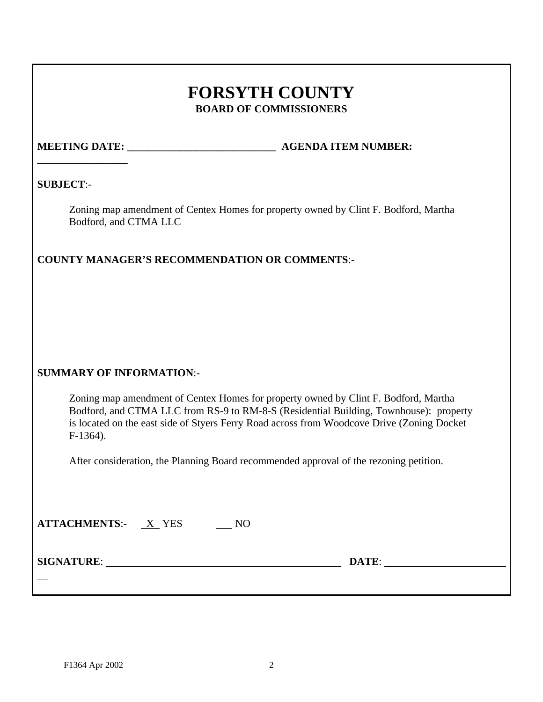## **FORSYTH COUNTY BOARD OF COMMISSIONERS**

# **\_\_\_\_\_\_\_\_\_\_\_\_\_\_\_\_\_**

**MEETING DATE:**  $\qquad \qquad$  **AGENDA ITEM NUMBER:** 

#### **SUBJECT**:-

Zoning map amendment of Centex Homes for property owned by Clint F. Bodford, Martha Bodford, and CTMA LLC

## **COUNTY MANAGER'S RECOMMENDATION OR COMMENTS**:-

## **SUMMARY OF INFORMATION**:-

Zoning map amendment of Centex Homes for property owned by Clint F. Bodford, Martha Bodford, and CTMA LLC from RS-9 to RM-8-S (Residential Building, Townhouse): property is located on the east side of Styers Ferry Road across from Woodcove Drive (Zoning Docket F-1364).

After consideration, the Planning Board recommended approval of the rezoning petition.

| <b>ATTACHMENTS:</b> X YES | NQ |       |
|---------------------------|----|-------|
| <b>SIGNATURE:</b>         |    | DATE: |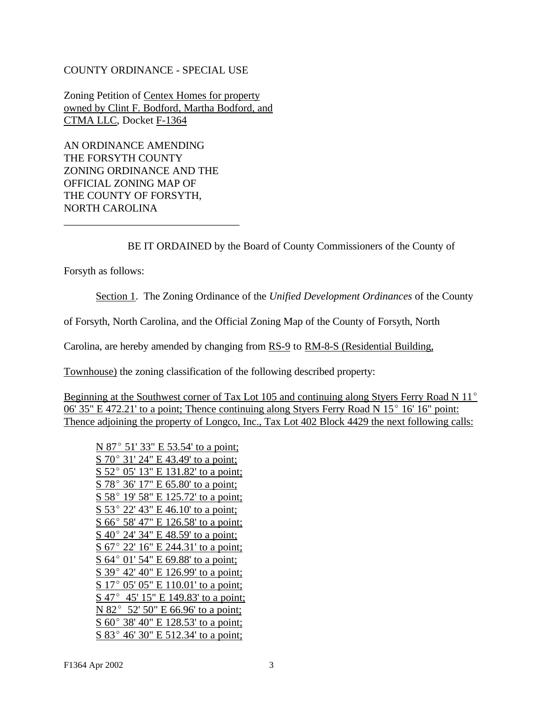#### COUNTY ORDINANCE - SPECIAL USE

Zoning Petition of Centex Homes for property owned by Clint F. Bodford, Martha Bodford, and CTMA LLC, Docket F-1364

AN ORDINANCE AMENDING THE FORSYTH COUNTY ZONING ORDINANCE AND THE OFFICIAL ZONING MAP OF THE COUNTY OF FORSYTH, NORTH CAROLINA

\_\_\_\_\_\_\_\_\_\_\_\_\_\_\_\_\_\_\_\_\_\_\_\_\_\_\_\_\_\_\_\_\_

BE IT ORDAINED by the Board of County Commissioners of the County of

Forsyth as follows:

Section 1. The Zoning Ordinance of the *Unified Development Ordinances* of the County

of Forsyth, North Carolina, and the Official Zoning Map of the County of Forsyth, North

Carolina, are hereby amended by changing from RS-9 to RM-8-S (Residential Building,

Townhouse) the zoning classification of the following described property:

Beginning at the Southwest corner of Tax Lot 105 and continuing along Styers Ferry Road N  $11^{\circ}$  $06'$  35" E 472.21' to a point; Thence continuing along Styers Ferry Road N 15 $^{\circ}$  16' 16" point: Thence adjoining the property of Longco, Inc., Tax Lot 402 Block 4429 the next following calls:

| N 87° 51′ 33″ E 53.54′ to a point;        |
|-------------------------------------------|
| S 70° 31' 24" E 43.49' to a point;        |
| S 52° 05′ 13″ E 131.82′ to a point;       |
| S 78° 36′ 17″ E 65.80′ to a point;        |
| S 58° 19′ 58″ E 125.72′ to a point;       |
| S 53° 22′ 43″ E 46.10′ to a point;        |
| S 66° 58′ 47″ E 126.58′ to a point;       |
| <u>S 40° 24' 34" E 48.59' to a point;</u> |
| S 67° 22′ 16″ E 244.31′ to a point;       |
| $S$ 64° 01′ 54″ E 69.88′ to a point;      |
| S 39° 42′ 40″ E 126.99′ to a point;       |
| S 17° 05' 05" E 110.01' to a point;       |
| S 47° 45' 15" E 149.83' to a point;       |
| N 82° 52′ 50″ E 66.96′ to a point;        |
| S 60° 38' 40" E 128.53' to a point;       |
| S 83° 46' 30" E 512.34' to a point;       |
|                                           |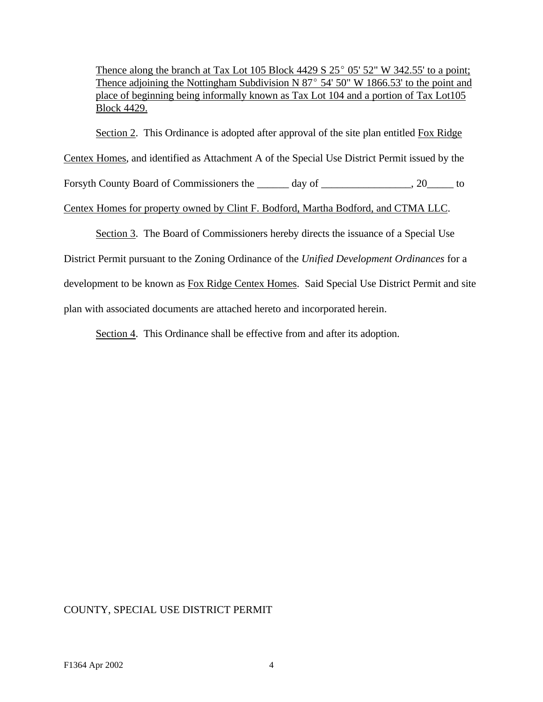Thence along the branch at Tax Lot 105 Block 4429 S  $25^{\circ}$  05' 52" W 342.55' to a point; Thence adjoining the Nottingham Subdivision N  $87^{\circ}$  54' 50" W 1866.53' to the point and place of beginning being informally known as Tax Lot 104 and a portion of Tax Lot105 Block 4429.

Section 2. This Ordinance is adopted after approval of the site plan entitled Fox Ridge

Centex Homes, and identified as Attachment A of the Special Use District Permit issued by the

Forsyth County Board of Commissioners the <u>each of day of each metal</u>, 20 to to

#### Centex Homes for property owned by Clint F. Bodford, Martha Bodford, and CTMA LLC.

Section 3. The Board of Commissioners hereby directs the issuance of a Special Use

District Permit pursuant to the Zoning Ordinance of the *Unified Development Ordinances* for a

development to be known as Fox Ridge Centex Homes. Said Special Use District Permit and site

plan with associated documents are attached hereto and incorporated herein.

Section 4. This Ordinance shall be effective from and after its adoption.

## COUNTY, SPECIAL USE DISTRICT PERMIT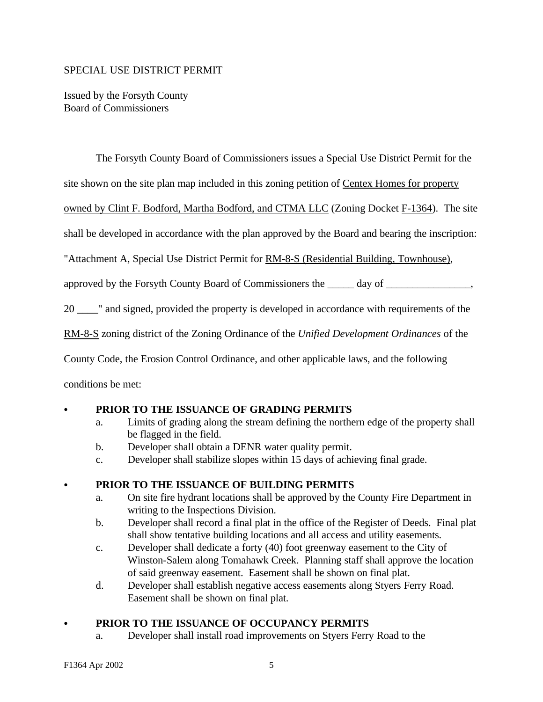#### SPECIAL USE DISTRICT PERMIT

Issued by the Forsyth County Board of Commissioners

The Forsyth County Board of Commissioners issues a Special Use District Permit for the

site shown on the site plan map included in this zoning petition of Centex Homes for property

owned by Clint F. Bodford, Martha Bodford, and CTMA LLC (Zoning Docket F-1364). The site

shall be developed in accordance with the plan approved by the Board and bearing the inscription:

"Attachment A, Special Use District Permit for RM-8-S (Residential Building, Townhouse),

approved by the Forsyth County Board of Commissioners the \_\_\_\_\_ day of \_\_\_\_\_\_\_\_\_\_\_\_\_\_\_\_,

20 \_\_\_\_" and signed, provided the property is developed in accordance with requirements of the

RM-8-S zoning district of the Zoning Ordinance of the *Unified Development Ordinances* of the

County Code, the Erosion Control Ordinance, and other applicable laws, and the following

conditions be met:

## PRIOR TO THE ISSUANCE OF GRADING PERMITS

- a. Limits of grading along the stream defining the northern edge of the property shall be flagged in the field.
- b. Developer shall obtain a DENR water quality permit.
- c. Developer shall stabilize slopes within 15 days of achieving final grade.

#### C **PRIOR TO THE ISSUANCE OF BUILDING PERMITS**

- a. On site fire hydrant locations shall be approved by the County Fire Department in writing to the Inspections Division.
- b. Developer shall record a final plat in the office of the Register of Deeds. Final plat shall show tentative building locations and all access and utility easements.
- c. Developer shall dedicate a forty (40) foot greenway easement to the City of Winston-Salem along Tomahawk Creek. Planning staff shall approve the location of said greenway easement. Easement shall be shown on final plat.
- d. Developer shall establish negative access easements along Styers Ferry Road. Easement shall be shown on final plat.

## PRIOR TO THE ISSUANCE OF OCCUPANCY PERMITS

a. Developer shall install road improvements on Styers Ferry Road to the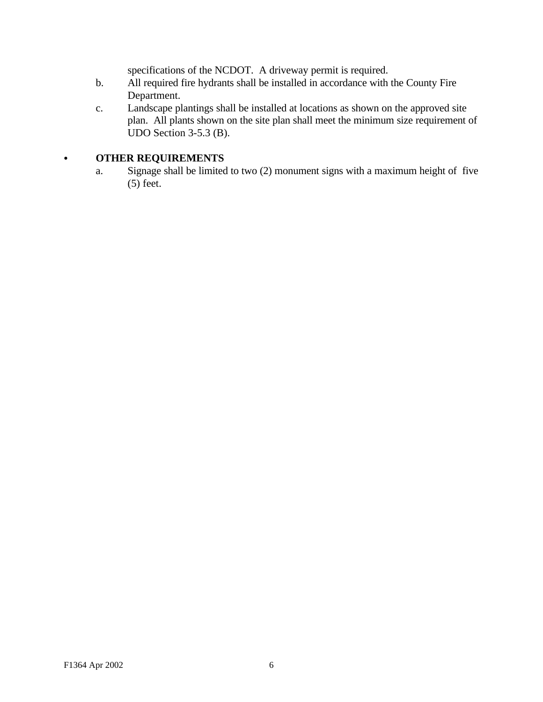specifications of the NCDOT. A driveway permit is required.

- b. All required fire hydrants shall be installed in accordance with the County Fire Department.
- c. Landscape plantings shall be installed at locations as shown on the approved site plan. All plants shown on the site plan shall meet the minimum size requirement of UDO Section 3-5.3 (B).

## **• OTHER REQUIREMENTS**

a. Signage shall be limited to two (2) monument signs with a maximum height of five (5) feet.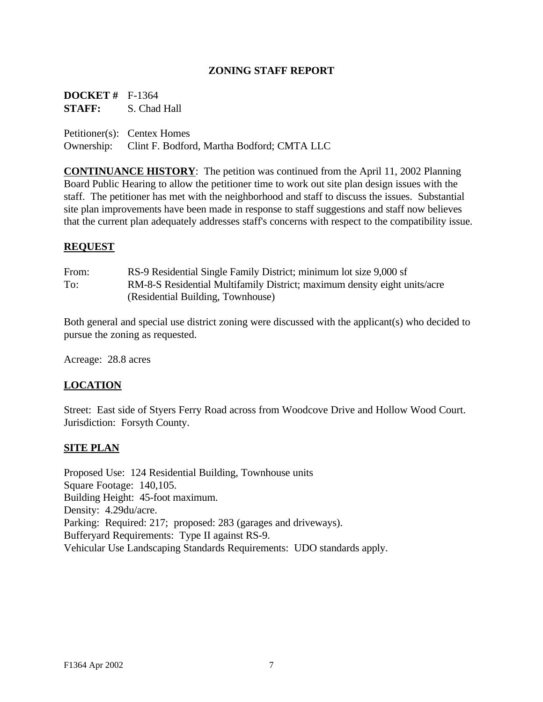#### **ZONING STAFF REPORT**

**DOCKET #** F-1364 **STAFF:** S. Chad Hall

Petitioner(s): Centex Homes Ownership: Clint F. Bodford, Martha Bodford; CMTA LLC

**CONTINUANCE HISTORY**: The petition was continued from the April 11, 2002 Planning Board Public Hearing to allow the petitioner time to work out site plan design issues with the staff. The petitioner has met with the neighborhood and staff to discuss the issues. Substantial site plan improvements have been made in response to staff suggestions and staff now believes that the current plan adequately addresses staff's concerns with respect to the compatibility issue.

#### **REQUEST**

| From: | RS-9 Residential Single Family District; minimum lot size 9,000 sf        |
|-------|---------------------------------------------------------------------------|
| To:   | RM-8-S Residential Multifamily District; maximum density eight units/acre |
|       | (Residential Building, Townhouse)                                         |

Both general and special use district zoning were discussed with the applicant(s) who decided to pursue the zoning as requested.

Acreage: 28.8 acres

#### **LOCATION**

Street: East side of Styers Ferry Road across from Woodcove Drive and Hollow Wood Court. Jurisdiction: Forsyth County.

#### **SITE PLAN**

Proposed Use: 124 Residential Building, Townhouse units Square Footage: 140,105. Building Height: 45-foot maximum. Density: 4.29du/acre. Parking: Required: 217; proposed: 283 (garages and driveways). Bufferyard Requirements: Type II against RS-9. Vehicular Use Landscaping Standards Requirements: UDO standards apply.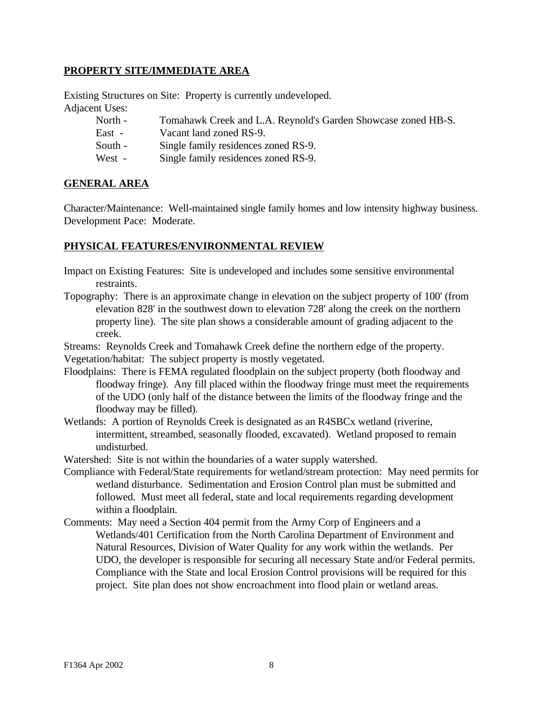#### **PROPERTY SITE/IMMEDIATE AREA**

Existing Structures on Site: Property is currently undeveloped. Adjacent Uses:

| North - | Tomahawk Creek and L.A. Reynold's Garden Showcase zoned HB-S. |
|---------|---------------------------------------------------------------|
| East -  | Vacant land zoned RS-9.                                       |
| South - | Single family residences zoned RS-9.                          |
| West -  | Single family residences zoned RS-9.                          |

#### **GENERAL AREA**

Character/Maintenance: Well-maintained single family homes and low intensity highway business. Development Pace: Moderate.

#### **PHYSICAL FEATURES/ENVIRONMENTAL REVIEW**

- Impact on Existing Features: Site is undeveloped and includes some sensitive environmental restraints.
- Topography: There is an approximate change in elevation on the subject property of 100' (from elevation 828' in the southwest down to elevation 728' along the creek on the northern property line). The site plan shows a considerable amount of grading adjacent to the creek.
- Streams: Reynolds Creek and Tomahawk Creek define the northern edge of the property.
- Vegetation/habitat: The subject property is mostly vegetated.
- Floodplains: There is FEMA regulated floodplain on the subject property (both floodway and floodway fringe). Any fill placed within the floodway fringe must meet the requirements of the UDO (only half of the distance between the limits of the floodway fringe and the floodway may be filled).
- Wetlands: A portion of Reynolds Creek is designated as an R4SBCx wetland (riverine, intermittent, streambed, seasonally flooded, excavated). Wetland proposed to remain undisturbed.
- Watershed: Site is not within the boundaries of a water supply watershed.
- Compliance with Federal/State requirements for wetland/stream protection: May need permits for wetland disturbance. Sedimentation and Erosion Control plan must be submitted and followed. Must meet all federal, state and local requirements regarding development within a floodplain.
- Comments: May need a Section 404 permit from the Army Corp of Engineers and a Wetlands/401 Certification from the North Carolina Department of Environment and Natural Resources, Division of Water Quality for any work within the wetlands. Per UDO, the developer is responsible for securing all necessary State and/or Federal permits. Compliance with the State and local Erosion Control provisions will be required for this project. Site plan does not show encroachment into flood plain or wetland areas.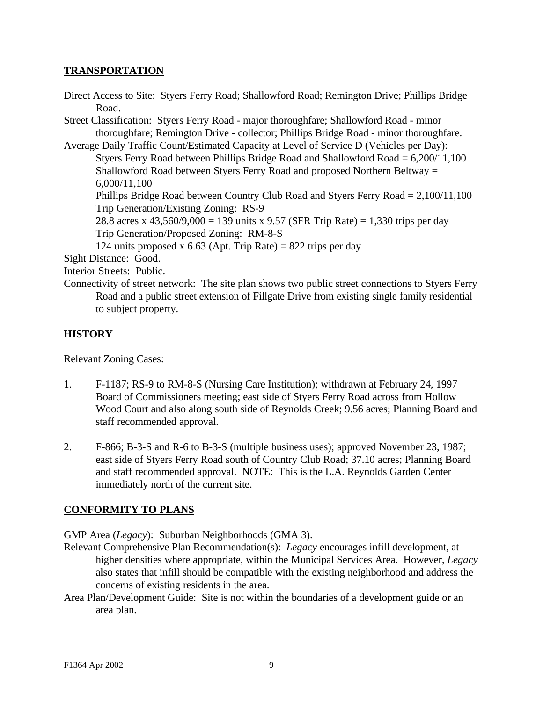#### **TRANSPORTATION**

Direct Access to Site: Styers Ferry Road; Shallowford Road; Remington Drive; Phillips Bridge Road. Street Classification: Styers Ferry Road - major thoroughfare; Shallowford Road - minor thoroughfare; Remington Drive - collector; Phillips Bridge Road - minor thoroughfare. Average Daily Traffic Count/Estimated Capacity at Level of Service D (Vehicles per Day): Styers Ferry Road between Phillips Bridge Road and Shallowford Road = 6,200/11,100 Shallowford Road between Styers Ferry Road and proposed Northern Beltway = 6,000/11,100 Phillips Bridge Road between Country Club Road and Styers Ferry Road = 2,100/11,100 Trip Generation/Existing Zoning: RS-9 28.8 acres x 43,560/9,000 = 139 units x 9.57 (SFR Trip Rate) = 1,330 trips per day Trip Generation/Proposed Zoning: RM-8-S 124 units proposed x 6.63 (Apt. Trip Rate) = 822 trips per day Sight Distance: Good. Interior Streets: Public.

Connectivity of street network: The site plan shows two public street connections to Styers Ferry Road and a public street extension of Fillgate Drive from existing single family residential to subject property.

## **HISTORY**

Relevant Zoning Cases:

- 1. F-1187; RS-9 to RM-8-S (Nursing Care Institution); withdrawn at February 24, 1997 Board of Commissioners meeting; east side of Styers Ferry Road across from Hollow Wood Court and also along south side of Reynolds Creek; 9.56 acres; Planning Board and staff recommended approval.
- 2. F-866; B-3-S and R-6 to B-3-S (multiple business uses); approved November 23, 1987; east side of Styers Ferry Road south of Country Club Road; 37.10 acres; Planning Board and staff recommended approval. NOTE: This is the L.A. Reynolds Garden Center immediately north of the current site.

## **CONFORMITY TO PLANS**

GMP Area (*Legacy*): Suburban Neighborhoods (GMA 3).

- Relevant Comprehensive Plan Recommendation(s): *Legacy* encourages infill development, at higher densities where appropriate, within the Municipal Services Area. However, *Legacy* also states that infill should be compatible with the existing neighborhood and address the concerns of existing residents in the area.
- Area Plan/Development Guide: Site is not within the boundaries of a development guide or an area plan.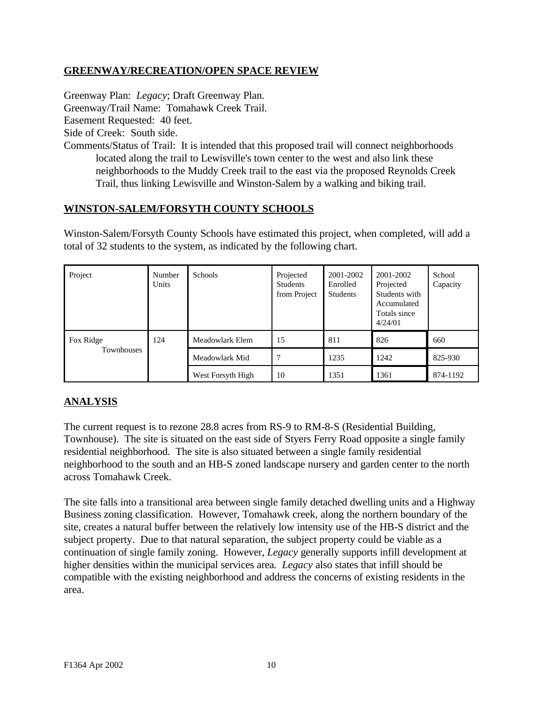## **GREENWAY/RECREATION/OPEN SPACE REVIEW**

Greenway Plan: *Legacy*; Draft Greenway Plan. Greenway/Trail Name: Tomahawk Creek Trail. Easement Requested: 40 feet. Side of Creek: South side. Comments/Status of Trail: It is intended that this proposed trail will connect neighborhoods located along the trail to Lewisville's town center to the west and also link these neighborhoods to the Muddy Creek trail to the east via the proposed Reynolds Creek Trail, thus linking Lewisville and Winston-Salem by a walking and biking trail.

#### **WINSTON-SALEM/FORSYTH COUNTY SCHOOLS**

Winston-Salem/Forsyth County Schools have estimated this project, when completed, will add a total of 32 students to the system, as indicated by the following chart.

| Project                 | Number<br>Units | <b>Schools</b>    | Projected<br><b>Students</b><br>from Project | 2001-2002<br>Enrolled<br><b>Students</b> | 2001-2002<br>Projected<br>Students with<br>Accumulated<br>Totals since<br>4/24/01 | School<br>Capacity |
|-------------------------|-----------------|-------------------|----------------------------------------------|------------------------------------------|-----------------------------------------------------------------------------------|--------------------|
| Fox Ridge<br>Townhouses | 124             | Meadowlark Elem   | 15                                           | 811                                      | 826                                                                               | 660                |
|                         |                 | Meadowlark Mid    |                                              | 1235                                     | 1242                                                                              | 825-930            |
|                         |                 | West Forsyth High | 10                                           | 1351                                     | 1361                                                                              | 874-1192           |

## **ANALYSIS**

The current request is to rezone 28.8 acres from RS-9 to RM-8-S (Residential Building, Townhouse). The site is situated on the east side of Styers Ferry Road opposite a single family residential neighborhood. The site is also situated between a single family residential neighborhood to the south and an HB-S zoned landscape nursery and garden center to the north across Tomahawk Creek.

The site falls into a transitional area between single family detached dwelling units and a Highway Business zoning classification. However, Tomahawk creek, along the northern boundary of the site, creates a natural buffer between the relatively low intensity use of the HB-S district and the subject property. Due to that natural separation, the subject property could be viable as a continuation of single family zoning. However, *Legacy* generally supports infill development at higher densities within the municipal services area. *Legacy* also states that infill should be compatible with the existing neighborhood and address the concerns of existing residents in the area.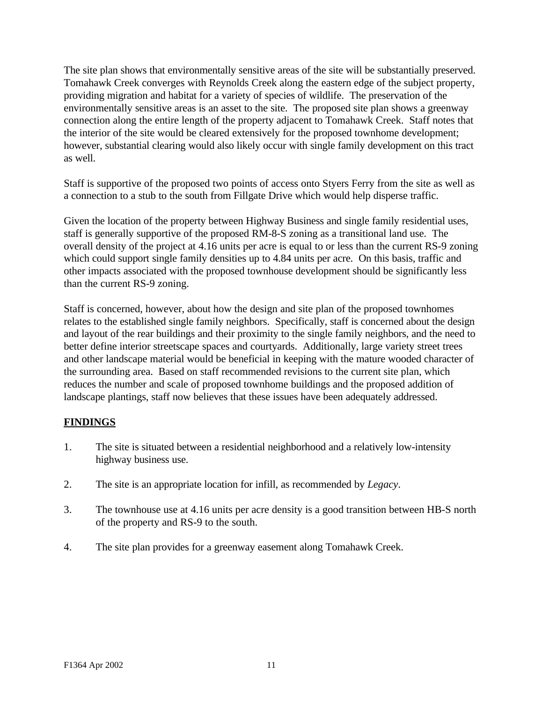The site plan shows that environmentally sensitive areas of the site will be substantially preserved. Tomahawk Creek converges with Reynolds Creek along the eastern edge of the subject property, providing migration and habitat for a variety of species of wildlife. The preservation of the environmentally sensitive areas is an asset to the site. The proposed site plan shows a greenway connection along the entire length of the property adjacent to Tomahawk Creek. Staff notes that the interior of the site would be cleared extensively for the proposed townhome development; however, substantial clearing would also likely occur with single family development on this tract as well.

Staff is supportive of the proposed two points of access onto Styers Ferry from the site as well as a connection to a stub to the south from Fillgate Drive which would help disperse traffic.

Given the location of the property between Highway Business and single family residential uses, staff is generally supportive of the proposed RM-8-S zoning as a transitional land use. The overall density of the project at 4.16 units per acre is equal to or less than the current RS-9 zoning which could support single family densities up to 4.84 units per acre. On this basis, traffic and other impacts associated with the proposed townhouse development should be significantly less than the current RS-9 zoning.

Staff is concerned, however, about how the design and site plan of the proposed townhomes relates to the established single family neighbors. Specifically, staff is concerned about the design and layout of the rear buildings and their proximity to the single family neighbors, and the need to better define interior streetscape spaces and courtyards. Additionally, large variety street trees and other landscape material would be beneficial in keeping with the mature wooded character of the surrounding area. Based on staff recommended revisions to the current site plan, which reduces the number and scale of proposed townhome buildings and the proposed addition of landscape plantings, staff now believes that these issues have been adequately addressed.

## **FINDINGS**

- 1. The site is situated between a residential neighborhood and a relatively low-intensity highway business use.
- 2. The site is an appropriate location for infill, as recommended by *Legacy*.
- 3. The townhouse use at 4.16 units per acre density is a good transition between HB-S north of the property and RS-9 to the south.
- 4. The site plan provides for a greenway easement along Tomahawk Creek.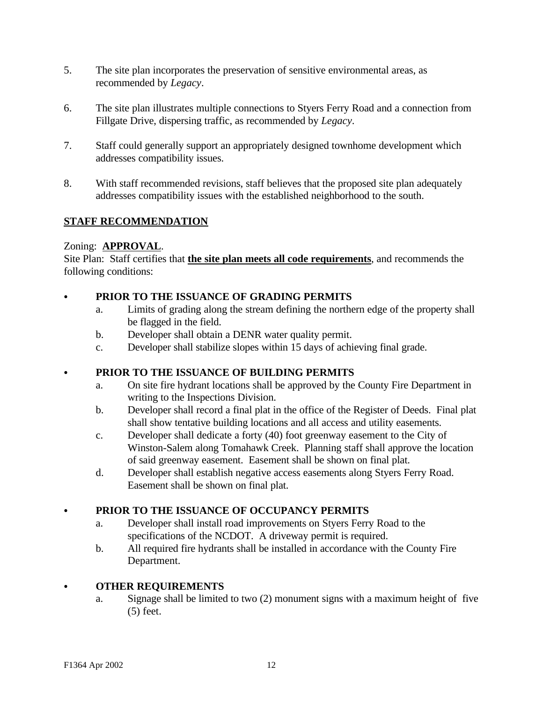- 5. The site plan incorporates the preservation of sensitive environmental areas, as recommended by *Legacy*.
- 6. The site plan illustrates multiple connections to Styers Ferry Road and a connection from Fillgate Drive, dispersing traffic, as recommended by *Legacy*.
- 7. Staff could generally support an appropriately designed townhome development which addresses compatibility issues.
- 8. With staff recommended revisions, staff believes that the proposed site plan adequately addresses compatibility issues with the established neighborhood to the south.

## **STAFF RECOMMENDATION**

## Zoning: **APPROVAL**.

Site Plan: Staff certifies that **the site plan meets all code requirements**, and recommends the following conditions:

## PRIOR TO THE ISSUANCE OF GRADING PERMITS

- a. Limits of grading along the stream defining the northern edge of the property shall be flagged in the field.
- b. Developer shall obtain a DENR water quality permit.
- c. Developer shall stabilize slopes within 15 days of achieving final grade.

## C **PRIOR TO THE ISSUANCE OF BUILDING PERMITS**

- a. On site fire hydrant locations shall be approved by the County Fire Department in writing to the Inspections Division.
- b. Developer shall record a final plat in the office of the Register of Deeds. Final plat shall show tentative building locations and all access and utility easements.
- c. Developer shall dedicate a forty (40) foot greenway easement to the City of Winston-Salem along Tomahawk Creek. Planning staff shall approve the location of said greenway easement. Easement shall be shown on final plat.
- d. Developer shall establish negative access easements along Styers Ferry Road. Easement shall be shown on final plat.

## C **PRIOR TO THE ISSUANCE OF OCCUPANCY PERMITS**

- a. Developer shall install road improvements on Styers Ferry Road to the specifications of the NCDOT. A driveway permit is required.
- b. All required fire hydrants shall be installed in accordance with the County Fire Department.

## C **OTHER REQUIREMENTS**

a. Signage shall be limited to two (2) monument signs with a maximum height of five (5) feet.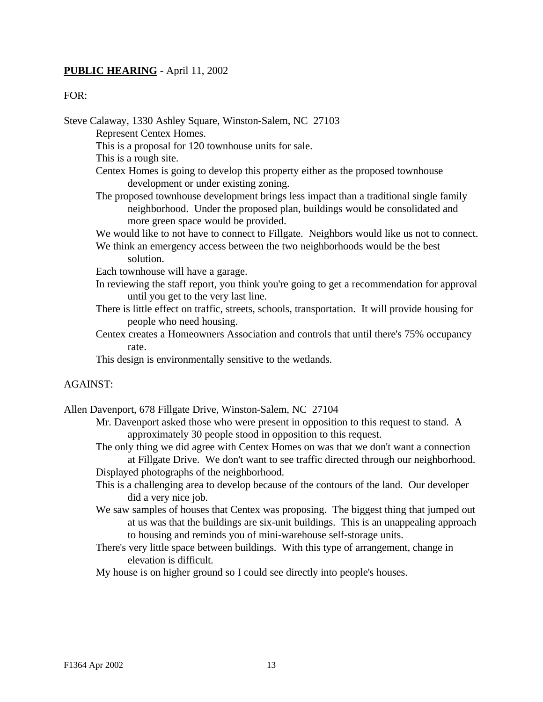#### **PUBLIC HEARING** - April 11, 2002

#### FOR:

Steve Calaway, 1330 Ashley Square, Winston-Salem, NC 27103

Represent Centex Homes.

This is a proposal for 120 townhouse units for sale.

This is a rough site.

Centex Homes is going to develop this property either as the proposed townhouse development or under existing zoning.

- The proposed townhouse development brings less impact than a traditional single family neighborhood. Under the proposed plan, buildings would be consolidated and more green space would be provided.
- We would like to not have to connect to Fillgate. Neighbors would like us not to connect.
- We think an emergency access between the two neighborhoods would be the best solution.

Each townhouse will have a garage.

- In reviewing the staff report, you think you're going to get a recommendation for approval until you get to the very last line.
- There is little effect on traffic, streets, schools, transportation. It will provide housing for people who need housing.
- Centex creates a Homeowners Association and controls that until there's 75% occupancy rate.

This design is environmentally sensitive to the wetlands.

#### AGAINST:

Allen Davenport, 678 Fillgate Drive, Winston-Salem, NC 27104

- Mr. Davenport asked those who were present in opposition to this request to stand. A approximately 30 people stood in opposition to this request.
- The only thing we did agree with Centex Homes on was that we don't want a connection at Fillgate Drive. We don't want to see traffic directed through our neighborhood. Displayed photographs of the neighborhood.
- This is a challenging area to develop because of the contours of the land. Our developer did a very nice job.
- We saw samples of houses that Centex was proposing. The biggest thing that jumped out at us was that the buildings are six-unit buildings. This is an unappealing approach to housing and reminds you of mini-warehouse self-storage units.
- There's very little space between buildings. With this type of arrangement, change in elevation is difficult.

My house is on higher ground so I could see directly into people's houses.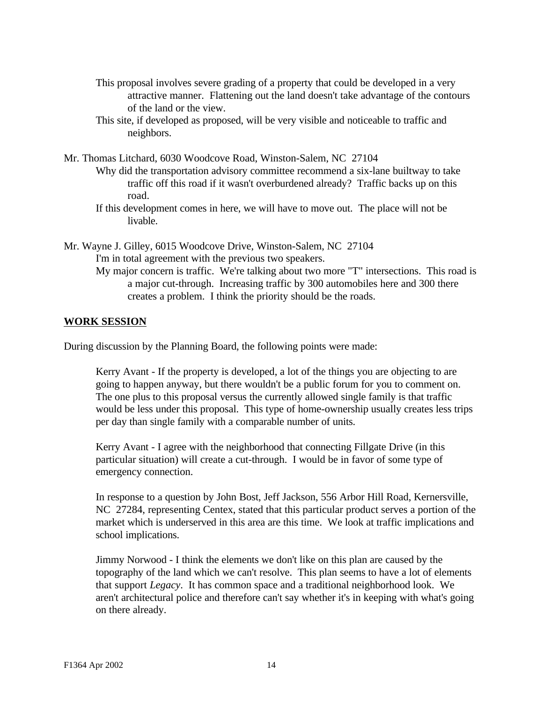- This proposal involves severe grading of a property that could be developed in a very attractive manner. Flattening out the land doesn't take advantage of the contours of the land or the view.
- This site, if developed as proposed, will be very visible and noticeable to traffic and neighbors.
- Mr. Thomas Litchard, 6030 Woodcove Road, Winston-Salem, NC 27104
	- Why did the transportation advisory committee recommend a six-lane builtway to take traffic off this road if it wasn't overburdened already? Traffic backs up on this road.
	- If this development comes in here, we will have to move out. The place will not be livable.
- Mr. Wayne J. Gilley, 6015 Woodcove Drive, Winston-Salem, NC 27104 I'm in total agreement with the previous two speakers.
	- My major concern is traffic. We're talking about two more "T" intersections. This road is a major cut-through. Increasing traffic by 300 automobiles here and 300 there creates a problem. I think the priority should be the roads.

#### **WORK SESSION**

During discussion by the Planning Board, the following points were made:

Kerry Avant - If the property is developed, a lot of the things you are objecting to are going to happen anyway, but there wouldn't be a public forum for you to comment on. The one plus to this proposal versus the currently allowed single family is that traffic would be less under this proposal. This type of home-ownership usually creates less trips per day than single family with a comparable number of units.

Kerry Avant - I agree with the neighborhood that connecting Fillgate Drive (in this particular situation) will create a cut-through. I would be in favor of some type of emergency connection.

In response to a question by John Bost, Jeff Jackson, 556 Arbor Hill Road, Kernersville, NC 27284, representing Centex, stated that this particular product serves a portion of the market which is underserved in this area are this time. We look at traffic implications and school implications.

Jimmy Norwood - I think the elements we don't like on this plan are caused by the topography of the land which we can't resolve. This plan seems to have a lot of elements that support *Legacy*. It has common space and a traditional neighborhood look. We aren't architectural police and therefore can't say whether it's in keeping with what's going on there already.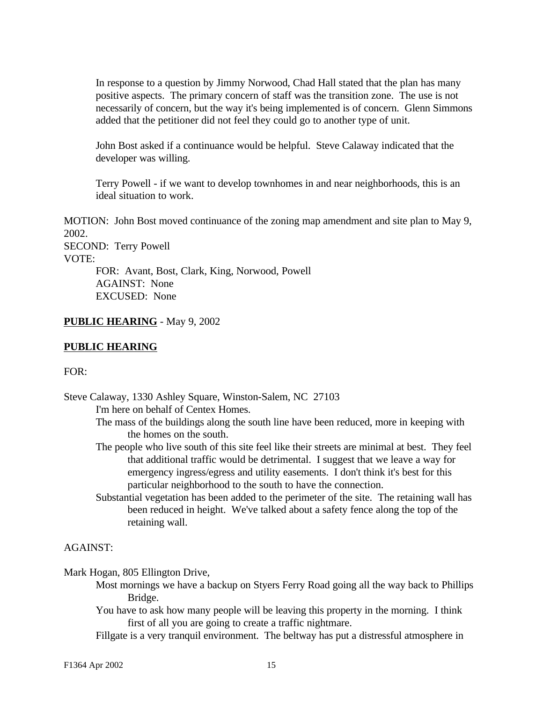In response to a question by Jimmy Norwood, Chad Hall stated that the plan has many positive aspects. The primary concern of staff was the transition zone. The use is not necessarily of concern, but the way it's being implemented is of concern. Glenn Simmons added that the petitioner did not feel they could go to another type of unit.

John Bost asked if a continuance would be helpful. Steve Calaway indicated that the developer was willing.

Terry Powell - if we want to develop townhomes in and near neighborhoods, this is an ideal situation to work.

MOTION: John Bost moved continuance of the zoning map amendment and site plan to May 9, 2002. SECOND: Terry Powell

VOTE:

FOR: Avant, Bost, Clark, King, Norwood, Powell AGAINST: None EXCUSED: None

## **PUBLIC HEARING** - May 9, 2002

### **PUBLIC HEARING**

FOR:

Steve Calaway, 1330 Ashley Square, Winston-Salem, NC 27103 I'm here on behalf of Centex Homes. The mass of the buildings along the south line have been reduced, more in keeping with the homes on the south.

- The people who live south of this site feel like their streets are minimal at best. They feel that additional traffic would be detrimental. I suggest that we leave a way for emergency ingress/egress and utility easements. I don't think it's best for this particular neighborhood to the south to have the connection.
- Substantial vegetation has been added to the perimeter of the site. The retaining wall has been reduced in height. We've talked about a safety fence along the top of the retaining wall.

#### AGAINST:

Mark Hogan, 805 Ellington Drive,

- Most mornings we have a backup on Styers Ferry Road going all the way back to Phillips Bridge.
- You have to ask how many people will be leaving this property in the morning. I think first of all you are going to create a traffic nightmare.
- Fillgate is a very tranquil environment. The beltway has put a distressful atmosphere in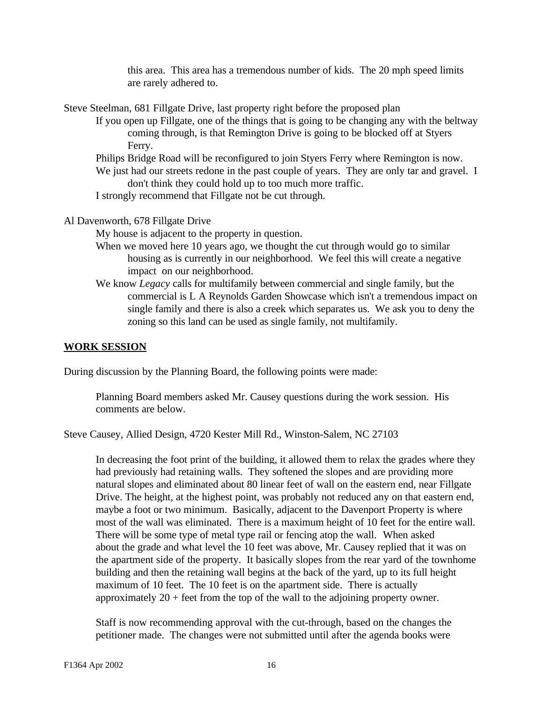this area. This area has a tremendous number of kids. The 20 mph speed limits are rarely adhered to.

Steve Steelman, 681 Fillgate Drive, last property right before the proposed plan

- If you open up Fillgate, one of the things that is going to be changing any with the beltway coming through, is that Remington Drive is going to be blocked off at Styers Ferry.
	- Philips Bridge Road will be reconfigured to join Styers Ferry where Remington is now. We just had our streets redone in the past couple of years. They are only tar and gravel. I don't think they could hold up to too much more traffic.
	- I strongly recommend that Fillgate not be cut through.

Al Davenworth, 678 Fillgate Drive

My house is adjacent to the property in question.

- When we moved here 10 years ago, we thought the cut through would go to similar housing as is currently in our neighborhood. We feel this will create a negative impact on our neighborhood.
- We know *Legacy* calls for multifamily between commercial and single family, but the commercial is L A Reynolds Garden Showcase which isn't a tremendous impact on single family and there is also a creek which separates us. We ask you to deny the zoning so this land can be used as single family, not multifamily.

### **WORK SESSION**

During discussion by the Planning Board, the following points were made:

Planning Board members asked Mr. Causey questions during the work session. His comments are below.

Steve Causey, Allied Design, 4720 Kester Mill Rd., Winston-Salem, NC 27103

In decreasing the foot print of the building, it allowed them to relax the grades where they had previously had retaining walls. They softened the slopes and are providing more natural slopes and eliminated about 80 linear feet of wall on the eastern end, near Fillgate Drive. The height, at the highest point, was probably not reduced any on that eastern end, maybe a foot or two minimum. Basically, adjacent to the Davenport Property is where most of the wall was eliminated. There is a maximum height of 10 feet for the entire wall. There will be some type of metal type rail or fencing atop the wall. When asked about the grade and what level the 10 feet was above, Mr. Causey replied that it was on the apartment side of the property. It basically slopes from the rear yard of the townhome building and then the retaining wall begins at the back of the yard, up to its full height maximum of 10 feet. The 10 feet is on the apartment side. There is actually approximately  $20 + \text{feet from the top of the wall to the adjoining property owner.}$ 

Staff is now recommending approval with the cut-through, based on the changes the petitioner made. The changes were not submitted until after the agenda books were